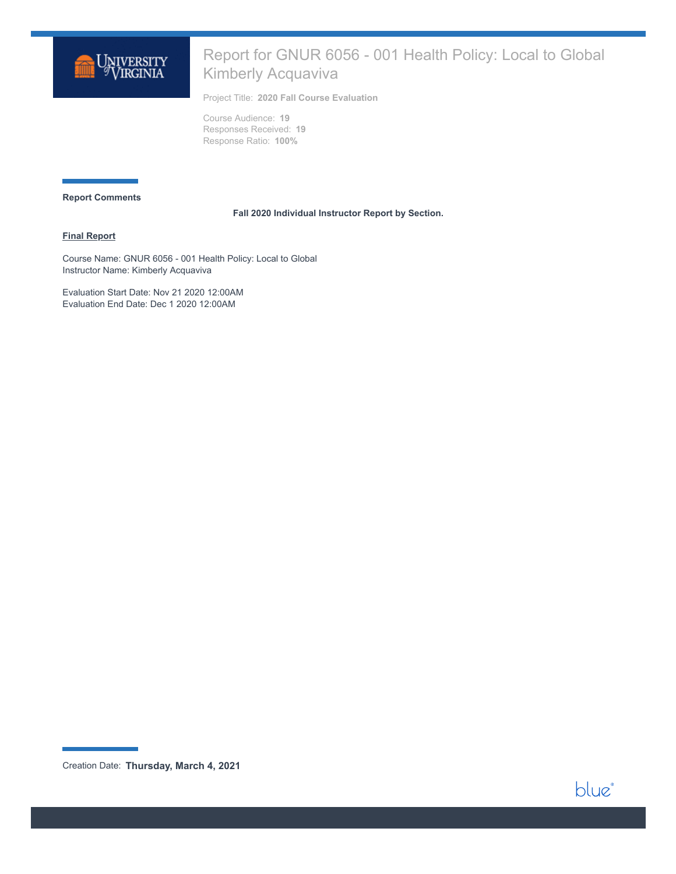

# Report for GNUR 6056 - 001 Health Policy: Local to Global Kimberly Acquaviva

Project Title: **2020 Fall Course Evaluation**

Course Audience: **19** Responses Received: **19** Response Ratio: **100%**

#### **Report Comments**

#### **Fall 2020 Individual Instructor Report by Section.**

### **Final Report**

Course Name: GNUR 6056 - 001 Health Policy: Local to Global Instructor Name: Kimberly Acquaviva

Evaluation Start Date: Nov 21 2020 12:00AM Evaluation End Date: Dec 1 2020 12:00AM

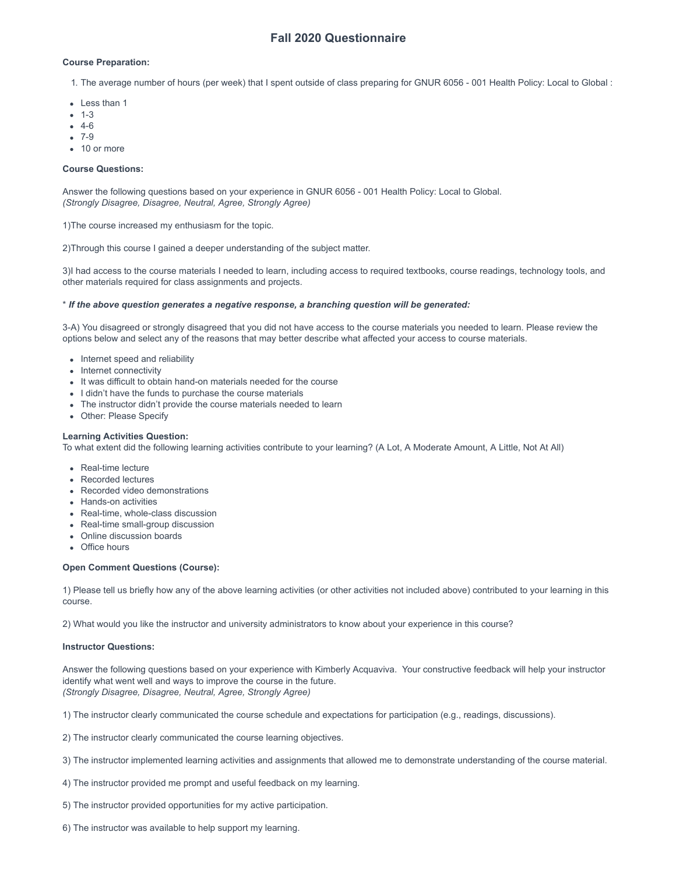## **Fall 2020 Questionnaire**

### **Course Preparation:**

1. The average number of hours (per week) that I spent outside of class preparing for GNUR 6056 - 001 Health Policy: Local to Global :

- Less than 1
- $-1-3$
- 4-6
- 7-9
- 10 or more

### **Course Questions:**

Answer the following questions based on your experience in GNUR 6056 - 001 Health Policy: Local to Global. *(Strongly Disagree, Disagree, Neutral, Agree, Strongly Agree)*

1)The course increased my enthusiasm for the topic.

2)Through this course I gained a deeper understanding of the subject matter.

3)I had access to the course materials I needed to learn, including access to required textbooks, course readings, technology tools, and other materials required for class assignments and projects.

#### \* *If the above question generates a negative response, a branching question will be generated:*

3-A) You disagreed or strongly disagreed that you did not have access to the course materials you needed to learn. Please review the options below and select any of the reasons that may better describe what affected your access to course materials.

- Internet speed and reliability
- Internet connectivity
- It was difficult to obtain hand-on materials needed for the course
- I didn't have the funds to purchase the course materials
- The instructor didn't provide the course materials needed to learn
- Other: Please Specify

**Learning Activities Question:**

To what extent did the following learning activities contribute to your learning? (A Lot, A Moderate Amount, A Little, Not At All)

- Real-time lecture
- Recorded lectures
- Recorded video demonstrations
- Hands-on activities
- Real-time, whole-class discussion
- Real-time small-group discussion
- Online discussion boards
- Office hours

#### **Open Comment Questions (Course):**

1) Please tell us briefly how any of the above learning activities (or other activities not included above) contributed to your learning in this course.

2) What would you like the instructor and university administrators to know about your experience in this course?

#### **Instructor Questions:**

Answer the following questions based on your experience with Kimberly Acquaviva. Your constructive feedback will help your instructor identify what went well and ways to improve the course in the future. *(Strongly Disagree, Disagree, Neutral, Agree, Strongly Agree)*

1) The instructor clearly communicated the course schedule and expectations for participation (e.g., readings, discussions).

2) The instructor clearly communicated the course learning objectives.

- 3) The instructor implemented learning activities and assignments that allowed me to demonstrate understanding of the course material.
- 4) The instructor provided me prompt and useful feedback on my learning.
- 5) The instructor provided opportunities for my active participation.
- 6) The instructor was available to help support my learning.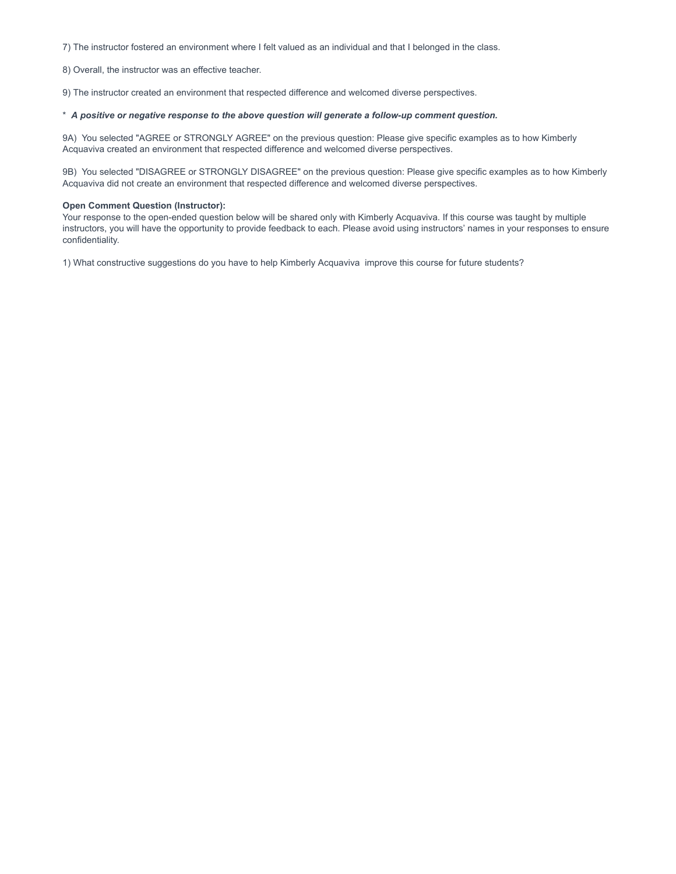7) The instructor fostered an environment where I felt valued as an individual and that I belonged in the class.

8) Overall, the instructor was an effective teacher.

9) The instructor created an environment that respected difference and welcomed diverse perspectives.

### \* *A positive or negative response to the above question will generate a follow-up comment question.*

9A) You selected "AGREE or STRONGLY AGREE" on the previous question: Please give specific examples as to how Kimberly Acquaviva created an environment that respected difference and welcomed diverse perspectives.

9B) You selected "DISAGREE or STRONGLY DISAGREE" on the previous question: Please give specific examples as to how Kimberly Acquaviva did not create an environment that respected difference and welcomed diverse perspectives.

#### **Open Comment Question (Instructor):**

Your response to the open-ended question below will be shared only with Kimberly Acquaviva. If this course was taught by multiple instructors, you will have the opportunity to provide feedback to each. Please avoid using instructors' names in your responses to ensure confidentiality.

1) What constructive suggestions do you have to help Kimberly Acquaviva improve this course for future students?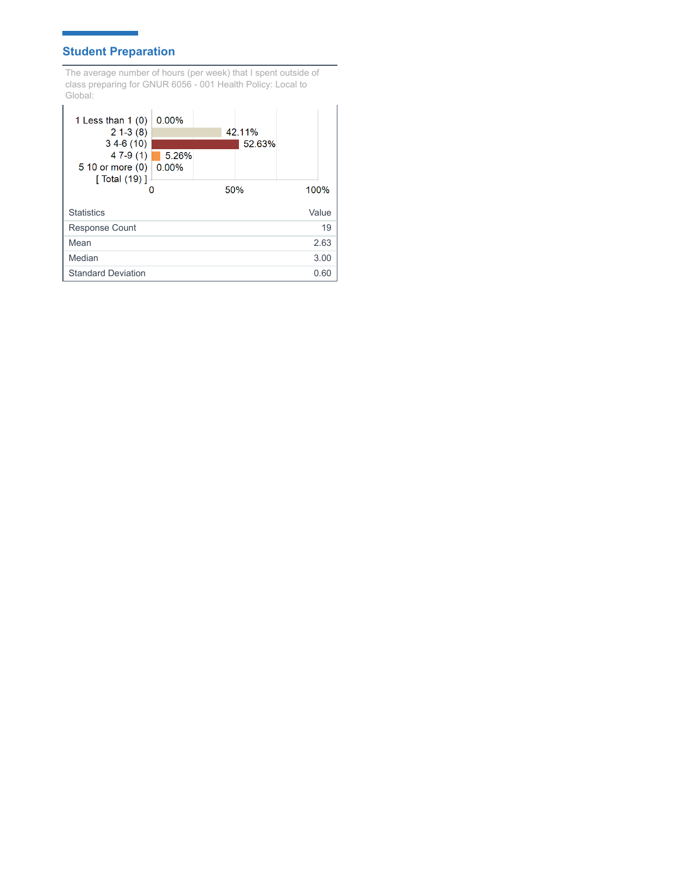# **Student Preparation**

Ħ

The average number of hours (per week) that I spent outside of class preparing for GNUR 6056 - 001 Health Policy: Local to Global:

| 1 Less than $1(0)$<br>$21-3(8)$<br>$34-6(10)$ | 0.00%  |     | 42.11%<br>52.63% |       |
|-----------------------------------------------|--------|-----|------------------|-------|
| $47-9(1)$<br>5 10 or more $(0)$ $\mid$ 0.00%  | 15.26% |     |                  |       |
| [ Total (19) ]                                |        | 50% |                  | 100%  |
| <b>Statistics</b>                             |        |     |                  | Value |
| <b>Response Count</b>                         |        |     |                  | 19    |
| Mean                                          |        |     |                  | 2.63  |
| Median                                        |        |     |                  | 3.00  |
| <b>Standard Deviation</b>                     |        |     |                  | 0.60  |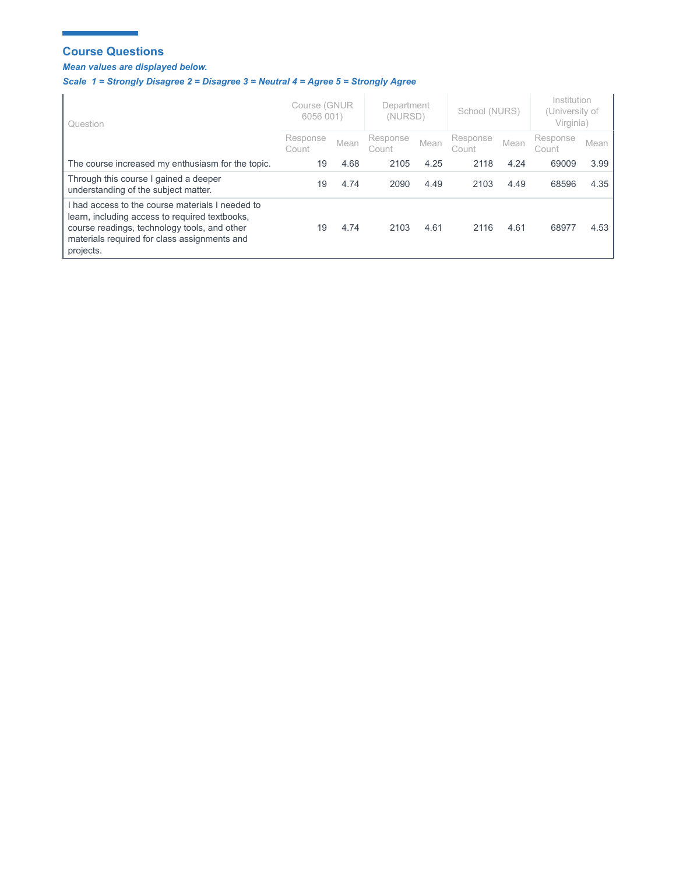## **Course Questions**

п

## *Mean values are displayed below.*

Ĩ.

# *Scale 1 = Strongly Disagree 2 = Disagree 3 = Neutral 4 = Agree 5 = Strongly Agree*

| Question                                                                                                                                                                                                        | Course (GNUR<br>6056 001) |      | Department<br>(NURSD) |      | School (NURS)     |      | Institution<br>(University of<br>Virginia) |        |
|-----------------------------------------------------------------------------------------------------------------------------------------------------------------------------------------------------------------|---------------------------|------|-----------------------|------|-------------------|------|--------------------------------------------|--------|
|                                                                                                                                                                                                                 | Response<br>Count         | Mean | Response<br>Count     | Mean | Response<br>Count | Mean | Response<br>Count                          | Mean ' |
| The course increased my enthusiasm for the topic.                                                                                                                                                               | 19                        | 4.68 | 2105                  | 4.25 | 2118              | 4.24 | 69009                                      | 3.99   |
| Through this course I gained a deeper<br>understanding of the subject matter.                                                                                                                                   | 19                        | 4.74 | 2090                  | 4.49 | 2103              | 4.49 | 68596                                      | 4.35   |
| I had access to the course materials I needed to<br>learn, including access to required textbooks,<br>course readings, technology tools, and other<br>materials required for class assignments and<br>projects. | 19                        | 4.74 | 2103                  | 4.61 | 2116              | 4.61 | 68977                                      | 4.53   |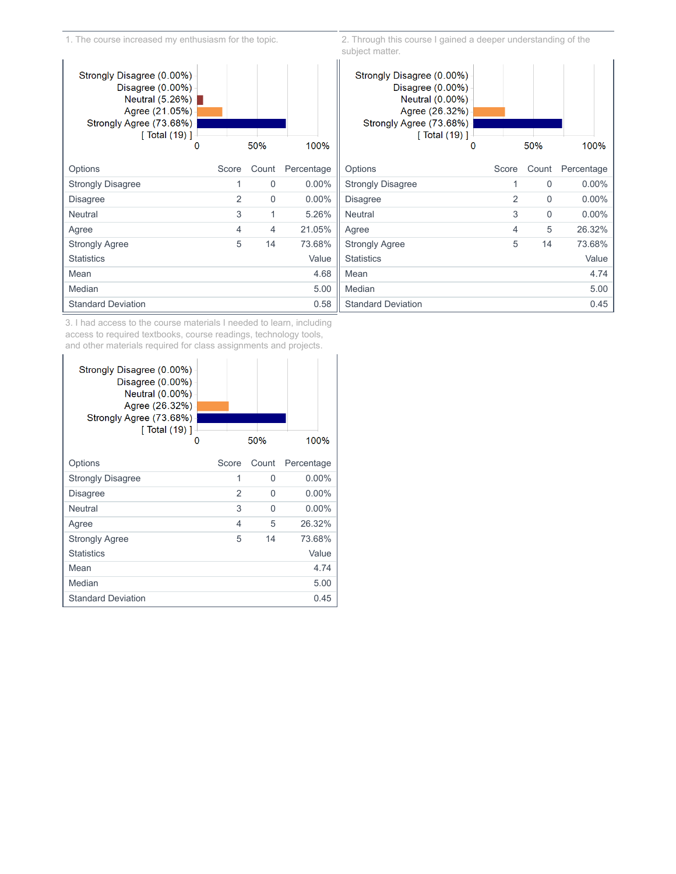1. The course increased my enthusiasm for the topic.



2. Through this course I gained a deeper understanding of the subject matter.



3. I had access to the course materials I needed to learn, including access to required textbooks, course readings, technology tools, and other materials required for class assignments and projects.

| Strongly Disagree (0.00%)<br>Disagree $(0.00\%)$<br>Neutral (0.00%)<br>Agree (26.32%)<br>Strongly Agree (73.68%)<br>$\lceil$ Total (19) $\rceil$<br>O |       | 50%   | 100%       |
|-------------------------------------------------------------------------------------------------------------------------------------------------------|-------|-------|------------|
| Options                                                                                                                                               | Score | Count | Percentage |
| <b>Strongly Disagree</b>                                                                                                                              | 1     | 0     | $0.00\%$   |
| Disagree                                                                                                                                              | 2     | 0     | $0.00\%$   |
| Neutral                                                                                                                                               | 3     | O     | $0.00\%$   |
| Agree                                                                                                                                                 | 4     | 5     | 26.32%     |
| <b>Strongly Agree</b>                                                                                                                                 | 5     | 14    | 73.68%     |
| <b>Statistics</b>                                                                                                                                     |       |       | Value      |
| Mean                                                                                                                                                  |       |       | 4.74       |
| Median                                                                                                                                                |       |       | 5.00       |
| <b>Standard Deviation</b>                                                                                                                             |       |       | 0.45       |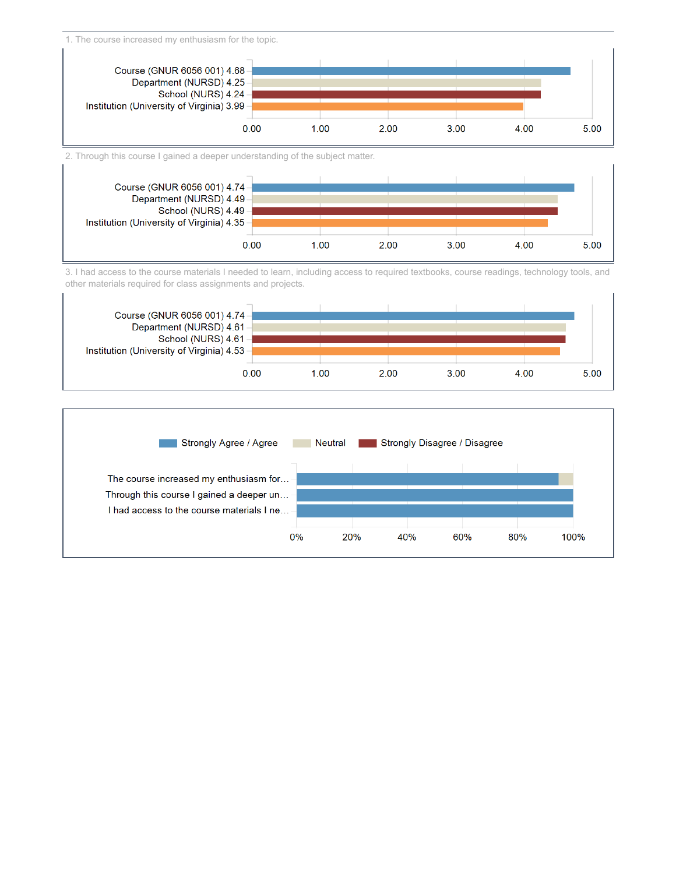1. The course increased my enthusiasm for the topic.



2. Through this course I gained a deeper understanding of the subject matter.



3. I had access to the course materials I needed to learn, including access to required textbooks, course readings, technology tools, and other materials required for class assignments and projects.



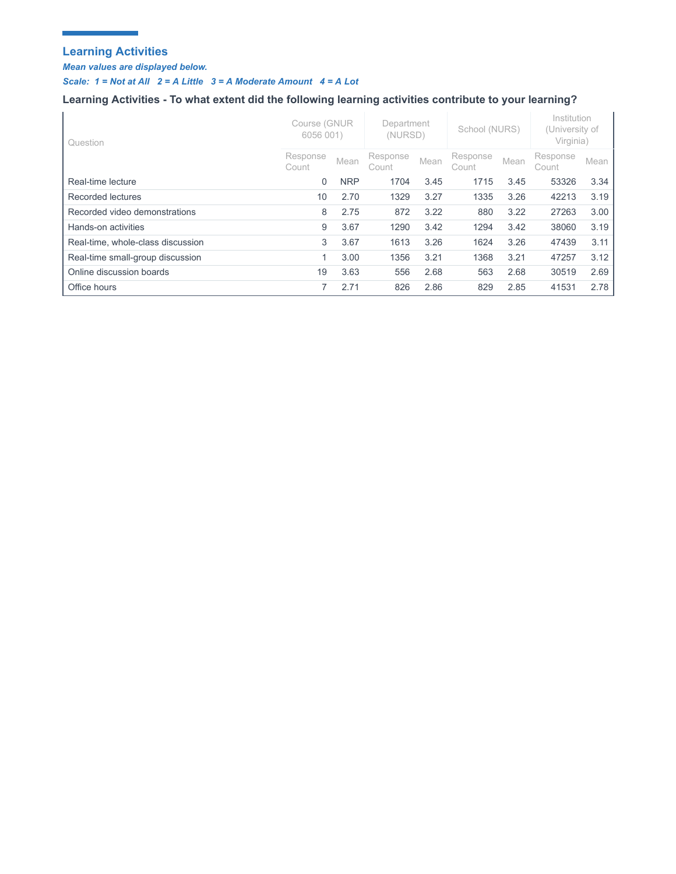# **Learning Activities**

r.

*Mean values are displayed below.* 

÷.

*Scale: 1 = Not at All 2 = A Little 3 = A Moderate Amount 4 = A Lot*

# **Learning Activities - To what extent did the following learning activities contribute to your learning?**

| Question                          | Course (GNUR<br>6056 001) |            | Department<br>(NURSD) |      | School (NURS)     |      | Institution<br>(University of<br>Virginia) |      |
|-----------------------------------|---------------------------|------------|-----------------------|------|-------------------|------|--------------------------------------------|------|
|                                   | Response<br>Count         | Mean       | Response<br>Count     | Mean | Response<br>Count | Mean | Response<br>Count                          | Mean |
| Real-time lecture                 | $\mathbf 0$               | <b>NRP</b> | 1704                  | 3.45 | 1715              | 3.45 | 53326                                      | 3.34 |
| Recorded lectures                 | 10                        | 2.70       | 1329                  | 3.27 | 1335              | 3.26 | 42213                                      | 3.19 |
| Recorded video demonstrations     | 8                         | 2.75       | 872                   | 3.22 | 880               | 3.22 | 27263                                      | 3.00 |
| Hands-on activities               | 9                         | 3.67       | 1290                  | 3.42 | 1294              | 3.42 | 38060                                      | 3.19 |
| Real-time, whole-class discussion | 3                         | 3.67       | 1613                  | 3.26 | 1624              | 3.26 | 47439                                      | 3.11 |
| Real-time small-group discussion  | 1                         | 3.00       | 1356                  | 3.21 | 1368              | 3.21 | 47257                                      | 3.12 |
| Online discussion boards          | 19                        | 3.63       | 556                   | 2.68 | 563               | 2.68 | 30519                                      | 2.69 |
| Office hours                      | 7                         | 2.71       | 826                   | 2.86 | 829               | 2.85 | 41531                                      | 2.78 |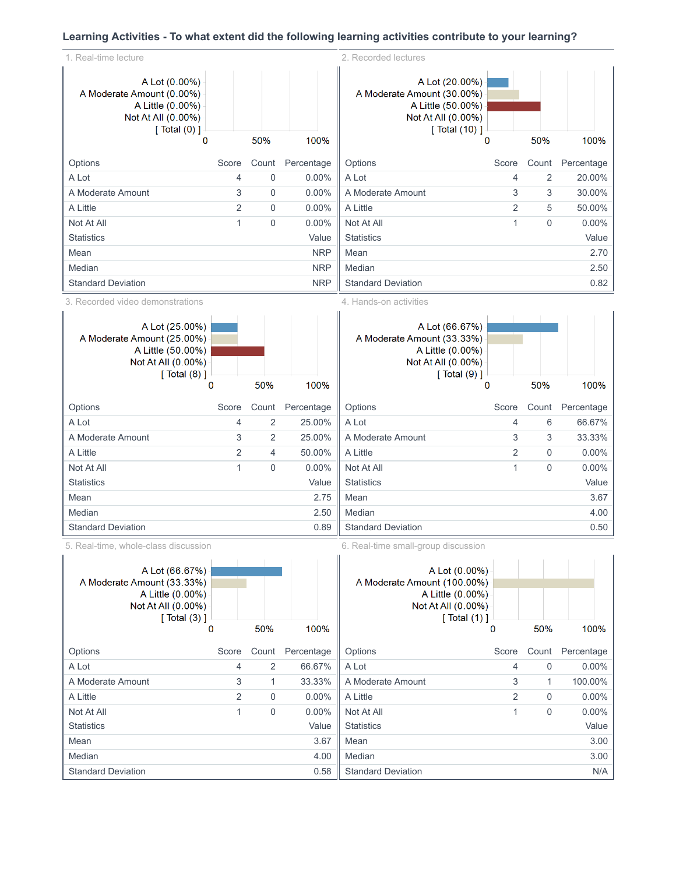# **Learning Activities - To what extent did the following learning activities contribute to your learning?**

| 1. Real-time lecture                                                                                                                                   |                |                         |                      | 2. Recorded lectures                                                                                                                           |                |                      |                        |
|--------------------------------------------------------------------------------------------------------------------------------------------------------|----------------|-------------------------|----------------------|------------------------------------------------------------------------------------------------------------------------------------------------|----------------|----------------------|------------------------|
| A Lot (0.00%)<br>A Moderate Amount (0.00%)<br>A Little (0.00%)<br>Not At All (0.00%)<br>[ $Total (0)$ ]                                                |                |                         |                      | A Lot (20.00%)<br>A Moderate Amount (30.00%)<br>A Little (50.00%)<br>Not At All (0.00%)<br>[ Total (10) ]                                      |                |                      |                        |
| 0                                                                                                                                                      |                | 50%                     | 100%                 |                                                                                                                                                | $\Omega$       | 50%                  | 100%                   |
| Options                                                                                                                                                | Score          | Count                   | Percentage           | Options                                                                                                                                        | Score          | Count                | Percentage             |
| A Lot                                                                                                                                                  | 4              | $\mathbf 0$             | $0.00\%$             | A Lot                                                                                                                                          | $\overline{4}$ | 2                    | 20.00%                 |
| A Moderate Amount                                                                                                                                      | 3              | $\mathbf 0$             | 0.00%                | A Moderate Amount                                                                                                                              | 3              | 3                    | 30.00%                 |
| A Little                                                                                                                                               | 2              | $\mathbf 0$             | 0.00%                | A Little                                                                                                                                       | 2              | 5                    | 50.00%                 |
| Not At All                                                                                                                                             | 1              | $\overline{0}$          | 0.00%                | Not At All                                                                                                                                     | 1              | $\mathbf 0$          | $0.00\%$               |
| <b>Statistics</b>                                                                                                                                      |                |                         | Value                | <b>Statistics</b>                                                                                                                              |                |                      | Value                  |
| Mean                                                                                                                                                   |                |                         | <b>NRP</b>           | Mean                                                                                                                                           |                |                      | 2.70                   |
| Median                                                                                                                                                 |                |                         | <b>NRP</b>           | Median                                                                                                                                         |                |                      | 2.50                   |
| <b>Standard Deviation</b>                                                                                                                              |                |                         | <b>NRP</b>           | <b>Standard Deviation</b>                                                                                                                      |                |                      | 0.82                   |
| 3. Recorded video demonstrations                                                                                                                       |                |                         |                      | 4. Hands-on activities                                                                                                                         |                |                      |                        |
| A Lot (25.00%)<br>A Moderate Amount (25.00%)<br>A Little (50.00%)<br>Not At All (0.00%)<br>[ Total (8) ]                                               |                |                         |                      | A Lot (66.67%)<br>A Moderate Amount (33.33%)<br>A Little (0.00%)<br>Not At All (0.00%)<br>[ Total (9) ]                                        |                |                      |                        |
| 0                                                                                                                                                      |                | 50%                     | 100%                 |                                                                                                                                                | $\mathbf 0$    | 50%                  | 100%                   |
| Options                                                                                                                                                | Score          | Count                   | Percentage           | Options                                                                                                                                        | Score          | Count                | Percentage             |
| A Lot                                                                                                                                                  | 4              | $\overline{2}$          | 25.00%               | A Lot                                                                                                                                          | $\overline{4}$ | 6                    | 66.67%                 |
| A Moderate Amount                                                                                                                                      | 3              | $\overline{2}$          | 25.00%               | A Moderate Amount                                                                                                                              | 3              | 3                    | 33.33%                 |
| A Little                                                                                                                                               | $\overline{2}$ | 4                       | 50.00%               | A Little                                                                                                                                       | $\overline{2}$ | 0                    | 0.00%                  |
| Not At All                                                                                                                                             | 1              | $\overline{0}$          | $0.00\%$             | Not At All                                                                                                                                     | 1              | $\mathbf 0$          | $0.00\%$               |
| <b>Statistics</b>                                                                                                                                      |                |                         | Value                | <b>Statistics</b>                                                                                                                              |                |                      | Value                  |
| Mean                                                                                                                                                   |                |                         | 2.75                 | Mean                                                                                                                                           |                |                      | 3.67                   |
| Median                                                                                                                                                 |                |                         | 2.50                 | Median                                                                                                                                         |                |                      | 4.00                   |
| <b>Standard Deviation</b>                                                                                                                              |                |                         | 0.89                 | <b>Standard Deviation</b>                                                                                                                      |                |                      | 0.50                   |
| 5. Real-time, whole-class discussion<br>A Lot (66.67%)<br>A Moderate Amount (33.33%)<br>A Little (0.00%)<br>Not At All (0.00%)<br>[ $Total (3)$ ]<br>0 |                | 50%                     | 100%                 | 6. Real-time small-group discussion<br>A Lot (0.00%)<br>A Moderate Amount (100.00%)<br>A Little (0.00%)<br>Not At All (0.00%)<br>[ Total (1) ] | 0              | 50%                  | 100%                   |
|                                                                                                                                                        |                |                         |                      |                                                                                                                                                |                |                      |                        |
| Options<br>A Lot                                                                                                                                       | Score<br>4     | Count<br>$\overline{2}$ | Percentage<br>66.67% | Options<br>A Lot                                                                                                                               | Score<br>4     | Count<br>$\mathsf 0$ | Percentage<br>$0.00\%$ |
| A Moderate Amount                                                                                                                                      | 3              | 1                       | 33.33%               | A Moderate Amount                                                                                                                              | 3              | 1                    | 100.00%                |
| A Little                                                                                                                                               | $\overline{2}$ | $\mathbf 0$             | $0.00\%$             | A Little                                                                                                                                       | 2              | $\mathbf 0$          | $0.00\%$               |
| Not At All                                                                                                                                             | $\mathbf{1}$   | $\mathbf 0$             | 0.00%                | Not At All                                                                                                                                     | 1              | $\mathsf{O}\xspace$  | 0.00%                  |
| <b>Statistics</b>                                                                                                                                      |                |                         | Value                | <b>Statistics</b>                                                                                                                              |                |                      | Value                  |
| Mean                                                                                                                                                   |                |                         | 3.67                 | Mean                                                                                                                                           |                |                      | 3.00                   |
| Median                                                                                                                                                 |                |                         | 4.00                 | Median                                                                                                                                         |                |                      | 3.00                   |
|                                                                                                                                                        |                |                         |                      |                                                                                                                                                |                |                      |                        |

Standard Deviation N/A

Standard Deviation 0.58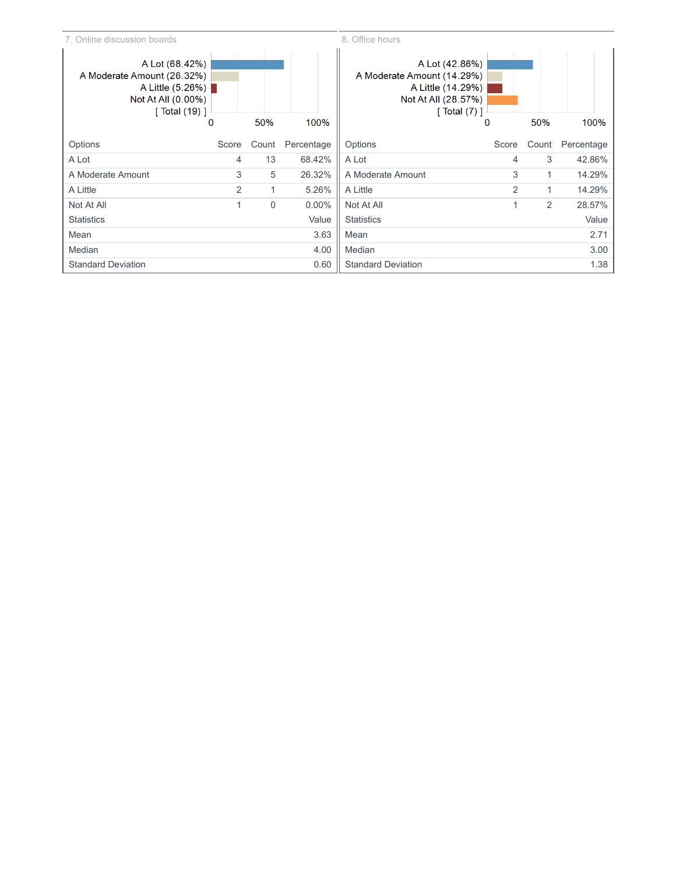8. Office hours

| A Lot (68.42%)<br>A Moderate Amount (26.32%)<br>A Little (5.26%)<br>Not At All $(0.00\%)$<br>$\lceil$ Total (19) $\rceil$ |               |             |            | A Lot (42.86%)<br>A Moderate Amount (14.29%)<br>A Little (14.29%) -<br>Not At All (28.57%)<br>[ Total $(7)$ ] |                |                |            |
|---------------------------------------------------------------------------------------------------------------------------|---------------|-------------|------------|---------------------------------------------------------------------------------------------------------------|----------------|----------------|------------|
|                                                                                                                           | 0             | 50%         | 100%       |                                                                                                               | 0              | 50%            | 100%       |
| Options                                                                                                                   | Score         | Count       | Percentage | Options                                                                                                       | Score          | Count          | Percentage |
| A Lot                                                                                                                     | 4             | 13          | 68.42%     | A Lot                                                                                                         | 4              | 3              | 42.86%     |
| A Moderate Amount                                                                                                         | 3             | 5           | 26.32%     | A Moderate Amount                                                                                             | 3              | 1              | 14.29%     |
| A Little                                                                                                                  | $\mathcal{P}$ | 1           | 5.26%      | A Little                                                                                                      | $\overline{2}$ | 1              | 14.29%     |
| Not At All                                                                                                                |               | $\mathbf 0$ | $0.00\%$   | Not At All                                                                                                    | 1              | $\overline{2}$ | 28.57%     |
| <b>Statistics</b>                                                                                                         |               |             | Value      | <b>Statistics</b>                                                                                             |                |                | Value      |
| Mean                                                                                                                      |               |             | 3.63       | Mean                                                                                                          |                |                | 2.71       |
| Median                                                                                                                    |               |             | 4.00       | Median                                                                                                        |                |                | 3.00       |
| <b>Standard Deviation</b>                                                                                                 |               |             | 0.60       | <b>Standard Deviation</b>                                                                                     |                |                | 1.38       |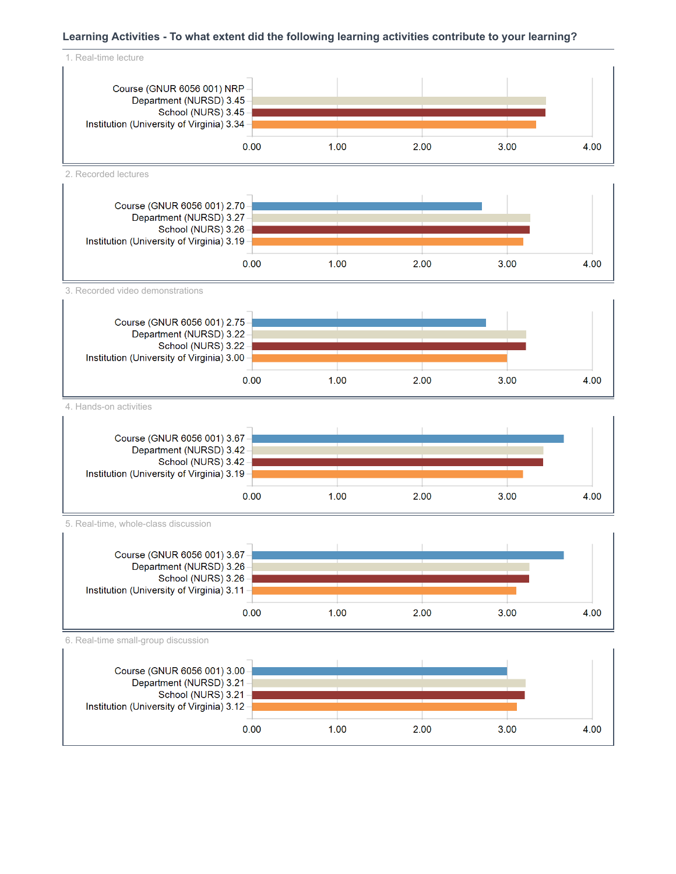## **Learning Activities - To what extent did the following learning activities contribute to your learning?**



 $1.00$ 

 $0.00$ 

Institution (University of Virginia) 3.12

2.00

4.00

 $3.00$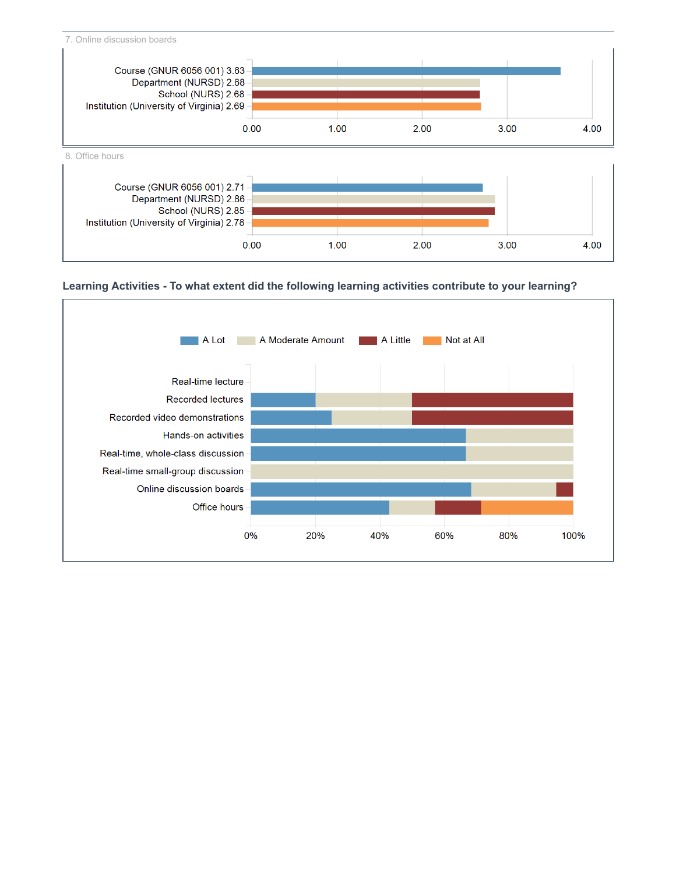

## **Learning Activities - To what extent did the following learning activities contribute to your learning?**

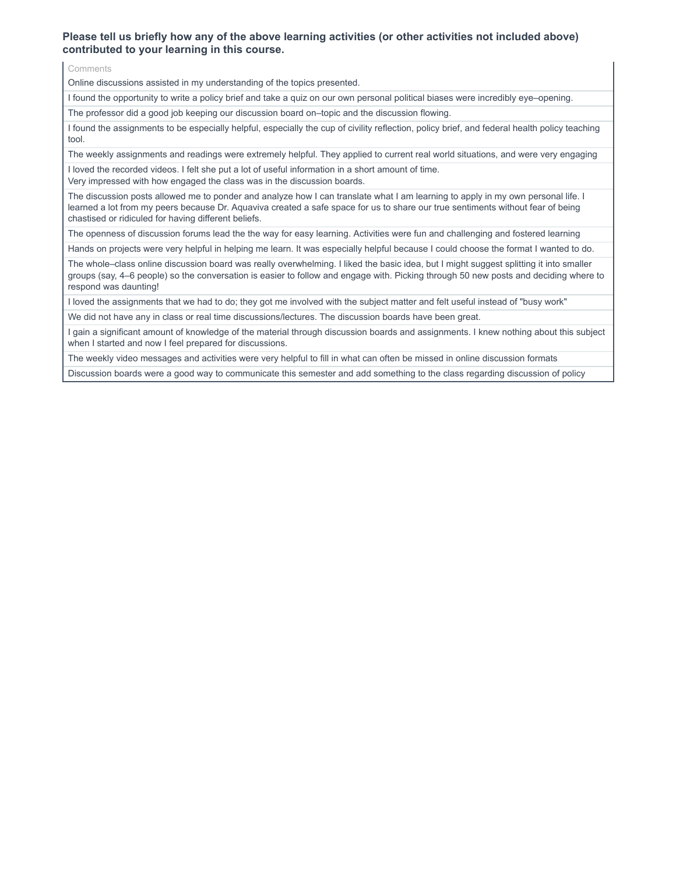## **Please tell us briefly how any of the above learning activities (or other activities not included above) contributed to your learning in this course.**

Comments

Online discussions assisted in my understanding of the topics presented.

I found the opportunity to write a policy brief and take a quiz on our own personal political biases were incredibly eye–opening.

The professor did a good job keeping our discussion board on–topic and the discussion flowing.

I found the assignments to be especially helpful, especially the cup of civility reflection, policy brief, and federal health policy teaching tool.

The weekly assignments and readings were extremely helpful. They applied to current real world situations, and were very engaging

I loved the recorded videos. I felt she put a lot of useful information in a short amount of time.

Very impressed with how engaged the class was in the discussion boards.

The discussion posts allowed me to ponder and analyze how I can translate what I am learning to apply in my own personal life. I learned a lot from my peers because Dr. Aquaviva created a safe space for us to share our true sentiments without fear of being chastised or ridiculed for having different beliefs.

The openness of discussion forums lead the the way for easy learning. Activities were fun and challenging and fostered learning

Hands on projects were very helpful in helping me learn. It was especially helpful because I could choose the format I wanted to do.

The whole–class online discussion board was really overwhelming. I liked the basic idea, but I might suggest splitting it into smaller groups (say, 4–6 people) so the conversation is easier to follow and engage with. Picking through 50 new posts and deciding where to respond was daunting!

I loved the assignments that we had to do; they got me involved with the subject matter and felt useful instead of "busy work"

We did not have any in class or real time discussions/lectures. The discussion boards have been great.

I gain a significant amount of knowledge of the material through discussion boards and assignments. I knew nothing about this subject when I started and now I feel prepared for discussions.

The weekly video messages and activities were very helpful to fill in what can often be missed in online discussion formats

Discussion boards were a good way to communicate this semester and add something to the class regarding discussion of policy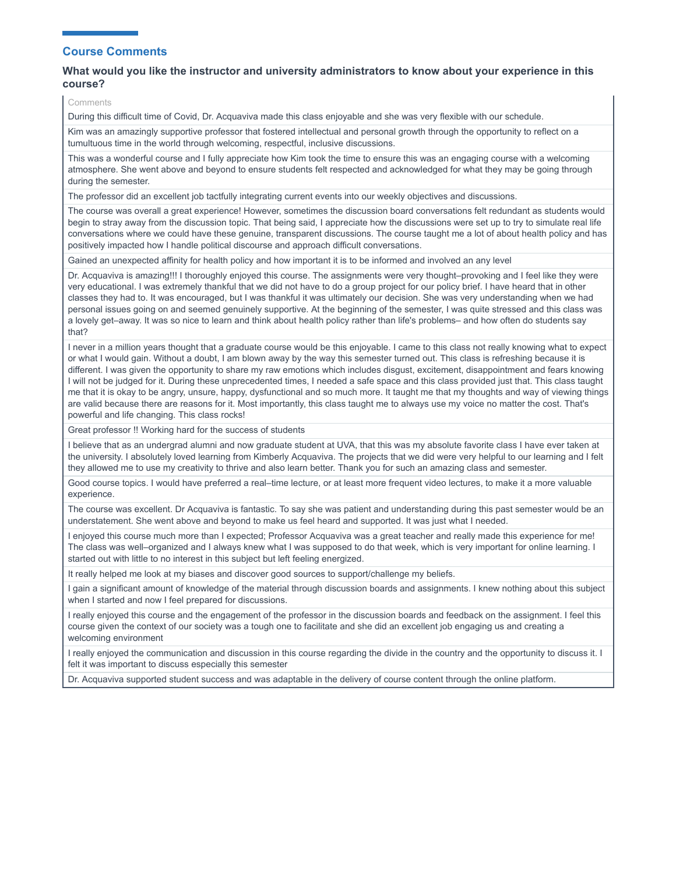## **Course Comments**

### **What would you like the instructor and university administrators to know about your experience in this course?**

Comments

During this difficult time of Covid, Dr. Acquaviva made this class enjoyable and she was very flexible with our schedule.

Kim was an amazingly supportive professor that fostered intellectual and personal growth through the opportunity to reflect on a tumultuous time in the world through welcoming, respectful, inclusive discussions.

This was a wonderful course and I fully appreciate how Kim took the time to ensure this was an engaging course with a welcoming atmosphere. She went above and beyond to ensure students felt respected and acknowledged for what they may be going through during the semester.

The professor did an excellent job tactfully integrating current events into our weekly objectives and discussions.

The course was overall a great experience! However, sometimes the discussion board conversations felt redundant as students would begin to stray away from the discussion topic. That being said, I appreciate how the discussions were set up to try to simulate real life conversations where we could have these genuine, transparent discussions. The course taught me a lot of about health policy and has positively impacted how I handle political discourse and approach difficult conversations.

Gained an unexpected affinity for health policy and how important it is to be informed and involved an any level

Dr. Acquaviva is amazing!!! I thoroughly enjoyed this course. The assignments were very thought–provoking and I feel like they were very educational. I was extremely thankful that we did not have to do a group project for our policy brief. I have heard that in other classes they had to. It was encouraged, but I was thankful it was ultimately our decision. She was very understanding when we had personal issues going on and seemed genuinely supportive. At the beginning of the semester, I was quite stressed and this class was a lovely get–away. It was so nice to learn and think about health policy rather than life's problems– and how often do students say that?

I never in a million years thought that a graduate course would be this enjoyable. I came to this class not really knowing what to expect or what I would gain. Without a doubt, I am blown away by the way this semester turned out. This class is refreshing because it is different. I was given the opportunity to share my raw emotions which includes disgust, excitement, disappointment and fears knowing I will not be judged for it. During these unprecedented times, I needed a safe space and this class provided just that. This class taught me that it is okay to be angry, unsure, happy, dysfunctional and so much more. It taught me that my thoughts and way of viewing things are valid because there are reasons for it. Most importantly, this class taught me to always use my voice no matter the cost. That's powerful and life changing. This class rocks!

Great professor !! Working hard for the success of students

I believe that as an undergrad alumni and now graduate student at UVA, that this was my absolute favorite class I have ever taken at the university. I absolutely loved learning from Kimberly Acquaviva. The projects that we did were very helpful to our learning and I felt they allowed me to use my creativity to thrive and also learn better. Thank you for such an amazing class and semester.

Good course topics. I would have preferred a real–time lecture, or at least more frequent video lectures, to make it a more valuable experience.

The course was excellent. Dr Acquaviva is fantastic. To say she was patient and understanding during this past semester would be an understatement. She went above and beyond to make us feel heard and supported. It was just what I needed.

I enjoyed this course much more than I expected; Professor Acquaviva was a great teacher and really made this experience for me! The class was well–organized and I always knew what I was supposed to do that week, which is very important for online learning. I started out with little to no interest in this subject but left feeling energized.

It really helped me look at my biases and discover good sources to support/challenge my beliefs.

I gain a significant amount of knowledge of the material through discussion boards and assignments. I knew nothing about this subject when I started and now I feel prepared for discussions.

I really enjoyed this course and the engagement of the professor in the discussion boards and feedback on the assignment. I feel this course given the context of our society was a tough one to facilitate and she did an excellent job engaging us and creating a welcoming environment

I really enjoyed the communication and discussion in this course regarding the divide in the country and the opportunity to discuss it. I felt it was important to discuss especially this semester

Dr. Acquaviva supported student success and was adaptable in the delivery of course content through the online platform.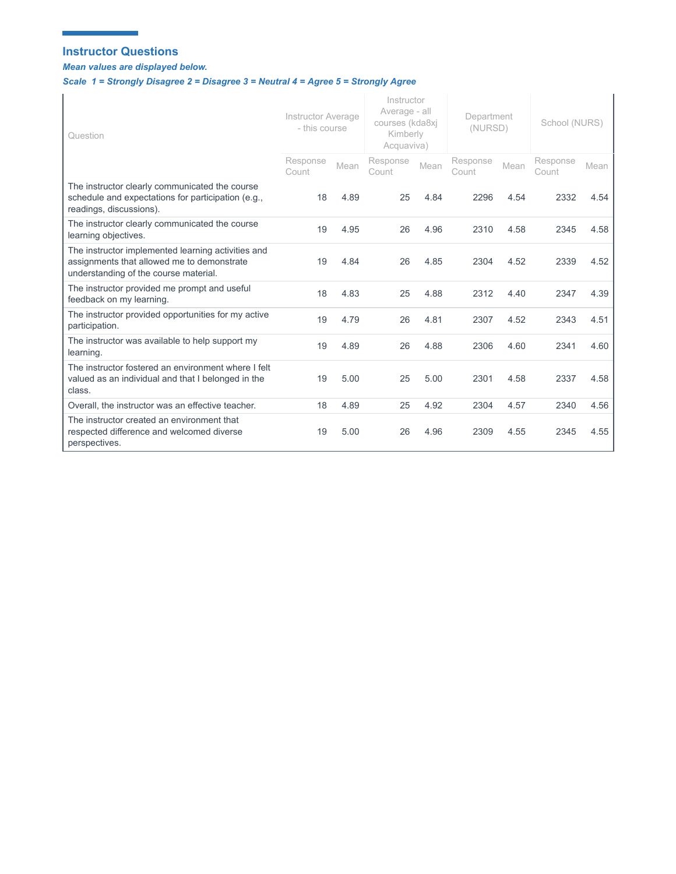## **Instructor Questions**

×

*Mean values are displayed below.* 

ä,

# *Scale 1 = Strongly Disagree 2 = Disagree 3 = Neutral 4 = Agree 5 = Strongly Agree*

| Question                                                                                                                                  | Instructor Average<br>- this course |      | Instructor<br>Average - all<br>courses (kda8xj<br>Kimberly<br>Acquaviva) |      | Department<br>(NURSD) |      | School (NURS)     |      |
|-------------------------------------------------------------------------------------------------------------------------------------------|-------------------------------------|------|--------------------------------------------------------------------------|------|-----------------------|------|-------------------|------|
|                                                                                                                                           | Response<br>Count                   | Mean | Response<br>Count                                                        | Mean | Response<br>Count     | Mean | Response<br>Count | Mean |
| The instructor clearly communicated the course<br>schedule and expectations for participation (e.g.,<br>readings, discussions).           | 18                                  | 4.89 | 25                                                                       | 4.84 | 2296                  | 4.54 | 2332              | 4.54 |
| The instructor clearly communicated the course<br>learning objectives.                                                                    | 19                                  | 4.95 | 26                                                                       | 4.96 | 2310                  | 4.58 | 2345              | 4.58 |
| The instructor implemented learning activities and<br>assignments that allowed me to demonstrate<br>understanding of the course material. | 19                                  | 4.84 | 26                                                                       | 4.85 | 2304                  | 4.52 | 2339              | 4.52 |
| The instructor provided me prompt and useful<br>feedback on my learning.                                                                  | 18                                  | 4.83 | 25                                                                       | 4.88 | 2312                  | 4.40 | 2347              | 4.39 |
| The instructor provided opportunities for my active<br>participation.                                                                     | 19                                  | 4.79 | 26                                                                       | 4.81 | 2307                  | 4.52 | 2343              | 4.51 |
| The instructor was available to help support my<br>learning.                                                                              | 19                                  | 4.89 | 26                                                                       | 4.88 | 2306                  | 4.60 | 2341              | 4.60 |
| The instructor fostered an environment where I felt<br>valued as an individual and that I belonged in the<br>class.                       | 19                                  | 5.00 | 25                                                                       | 5.00 | 2301                  | 4.58 | 2337              | 4.58 |
| Overall, the instructor was an effective teacher.                                                                                         | 18                                  | 4.89 | 25                                                                       | 4.92 | 2304                  | 4.57 | 2340              | 4.56 |
| The instructor created an environment that<br>respected difference and welcomed diverse<br>perspectives.                                  | 19                                  | 5.00 | 26                                                                       | 4.96 | 2309                  | 4.55 | 2345              | 4.55 |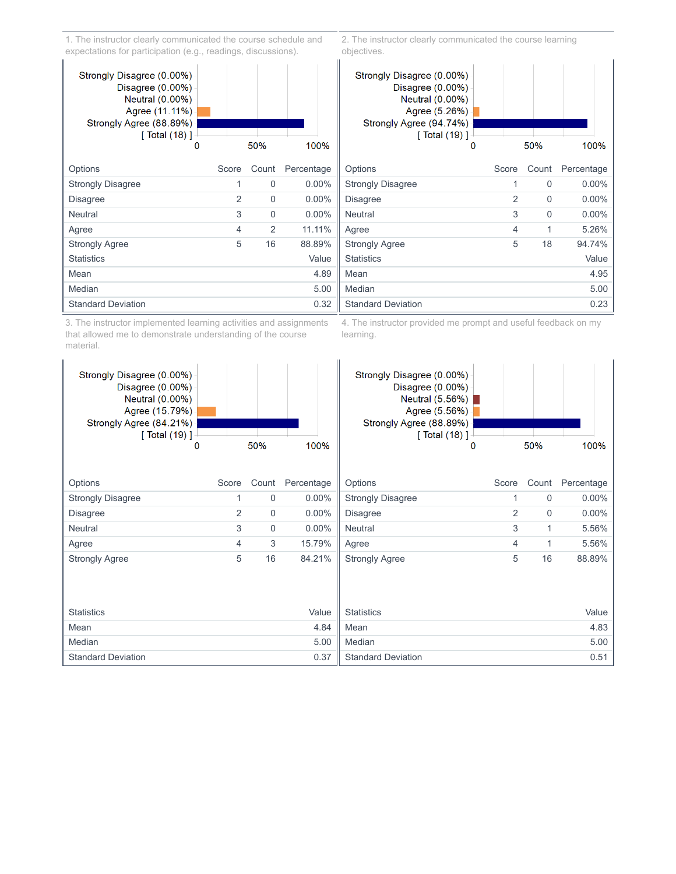1. The instructor clearly communicated the course schedule and expectations for participation (e.g., readings, discussions).



3. The instructor implemented learning activities and assignments that allowed me to demonstrate understanding of the course material.

2. The instructor clearly communicated the course learning objectives.



4. The instructor provided me prompt and useful feedback on my learning.

| Strongly Disagree (0.00%)<br>Disagree $(0.00\%)$<br>Neutral (0.00%)<br>Agree (15.79%)<br>Strongly Agree (84.21%)<br>$\lceil$ Total (19) ] |       |             |            | Strongly Disagree (0.00%)<br>Disagree $(0.00\%)$<br>Neutral $(5.56%)$<br>Agree (5.56%)  <br>Strongly Agree (88.89%)<br>[ Total (18) ]⊹ |       |             |            |
|-------------------------------------------------------------------------------------------------------------------------------------------|-------|-------------|------------|----------------------------------------------------------------------------------------------------------------------------------------|-------|-------------|------------|
| 0                                                                                                                                         |       | 50%         | 100%       | 0                                                                                                                                      |       | 50%         | 100%       |
|                                                                                                                                           |       |             |            |                                                                                                                                        |       |             |            |
| Options                                                                                                                                   | Score | Count       | Percentage | Options                                                                                                                                | Score | Count       | Percentage |
| <b>Strongly Disagree</b>                                                                                                                  |       | $\mathbf 0$ | $0.00\%$   | <b>Strongly Disagree</b>                                                                                                               |       | $\mathbf 0$ | $0.00\%$   |
| <b>Disagree</b>                                                                                                                           | 2     | 0           | $0.00\%$   | Disagree                                                                                                                               | 2     | $\mathbf 0$ | $0.00\%$   |
| Neutral                                                                                                                                   | 3     | $\Omega$    | $0.00\%$   | <b>Neutral</b>                                                                                                                         | 3     | 1           | 5.56%      |
| Agree                                                                                                                                     | 4     | 3           | 15.79%     | Agree                                                                                                                                  | 4     | 1           | 5.56%      |
| <b>Strongly Agree</b>                                                                                                                     | 5     | 16          | 84.21%     | <b>Strongly Agree</b>                                                                                                                  | 5     | 16          | 88.89%     |
|                                                                                                                                           |       |             |            |                                                                                                                                        |       |             |            |
| <b>Statistics</b>                                                                                                                         |       |             | Value      | <b>Statistics</b>                                                                                                                      |       |             | Value      |
| Mean                                                                                                                                      |       |             | 4.84       | Mean                                                                                                                                   |       |             | 4.83       |
| Median                                                                                                                                    |       |             | 5.00       | Median                                                                                                                                 |       |             | 5.00       |
| <b>Standard Deviation</b>                                                                                                                 |       |             | 0.37       | <b>Standard Deviation</b>                                                                                                              |       |             | 0.51       |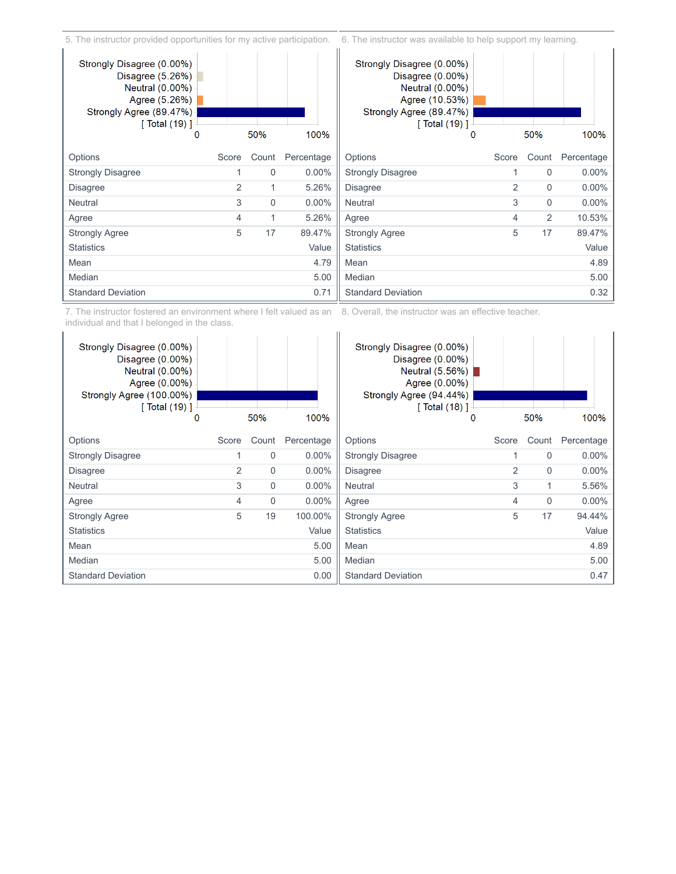5. The instructor provided opportunities for my active participation. 6. The instructor was available to help support my learning.



7. The instructor fostered an environment where I felt valued as an individual and that I belonged in the class. 8. Overall, the instructor was an effective teacher.

| Strongly Disagree (0.00%)<br>Disagree (0.00%)<br>Neutral (0.00%)<br>Agree (0.00%)<br>Strongly Agree (100.00%)<br><b>[ Total (19) ]</b> - |       |             |            | Strongly Disagree (0.00%)<br>Disagree $(0.00\%)$<br>Neutral $(5.56%)$<br>Agree (0.00%)<br>Strongly Agree (94.44%)<br>[ Total (18) ] |       |          |            |
|------------------------------------------------------------------------------------------------------------------------------------------|-------|-------------|------------|-------------------------------------------------------------------------------------------------------------------------------------|-------|----------|------------|
| 0                                                                                                                                        |       | 50%         | 100%       | O                                                                                                                                   |       | 50%      | 100%       |
| Options                                                                                                                                  | Score | Count       | Percentage | Options                                                                                                                             | Score | Count    | Percentage |
| <b>Strongly Disagree</b>                                                                                                                 | 1     | $\mathbf 0$ | $0.00\%$   | <b>Strongly Disagree</b>                                                                                                            |       | $\Omega$ | $0.00\%$   |
| <b>Disagree</b>                                                                                                                          | 2     | $\Omega$    | $0.00\%$   | <b>Disagree</b>                                                                                                                     | 2     | $\Omega$ | $0.00\%$   |
| <b>Neutral</b>                                                                                                                           | 3     | $\Omega$    | $0.00\%$   | <b>Neutral</b>                                                                                                                      | 3     | 1        | 5.56%      |
| Agree                                                                                                                                    | 4     | $\mathbf 0$ | $0.00\%$   | Agree                                                                                                                               | 4     | 0        | $0.00\%$   |
| <b>Strongly Agree</b>                                                                                                                    | 5     | 19          | 100.00%    | <b>Strongly Agree</b>                                                                                                               | 5     | 17       | 94.44%     |
| <b>Statistics</b>                                                                                                                        |       |             | Value      | <b>Statistics</b>                                                                                                                   |       |          | Value      |
| Mean                                                                                                                                     |       |             | 5.00       | Mean                                                                                                                                |       |          | 4.89       |
| Median                                                                                                                                   |       |             | 5.00       | Median                                                                                                                              |       |          | 5.00       |
| <b>Standard Deviation</b>                                                                                                                |       |             | 0.00       | <b>Standard Deviation</b>                                                                                                           |       |          | 0.47       |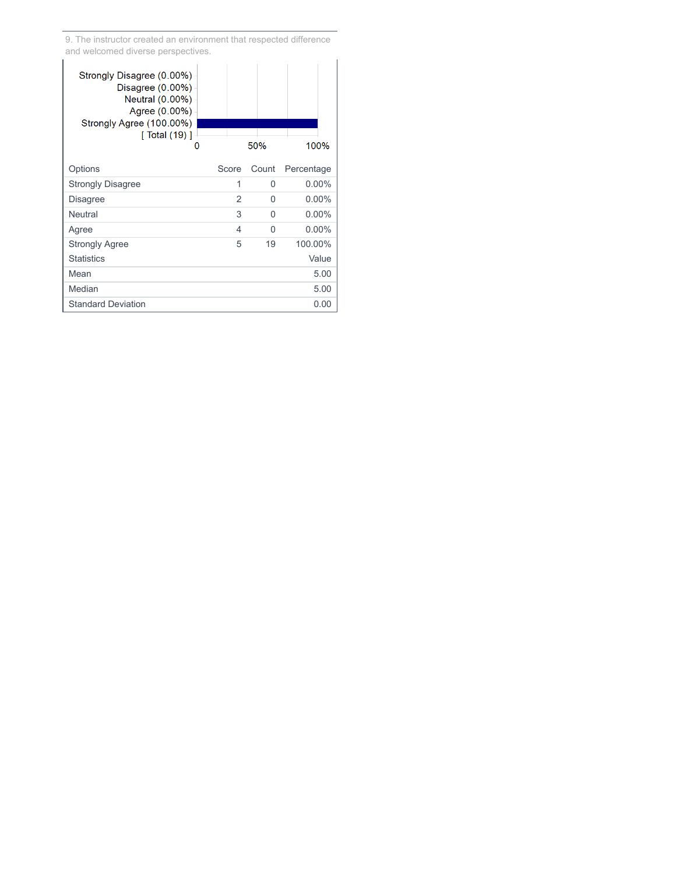9. The instructor created an environment that respected difference and welcomed diverse perspectives.

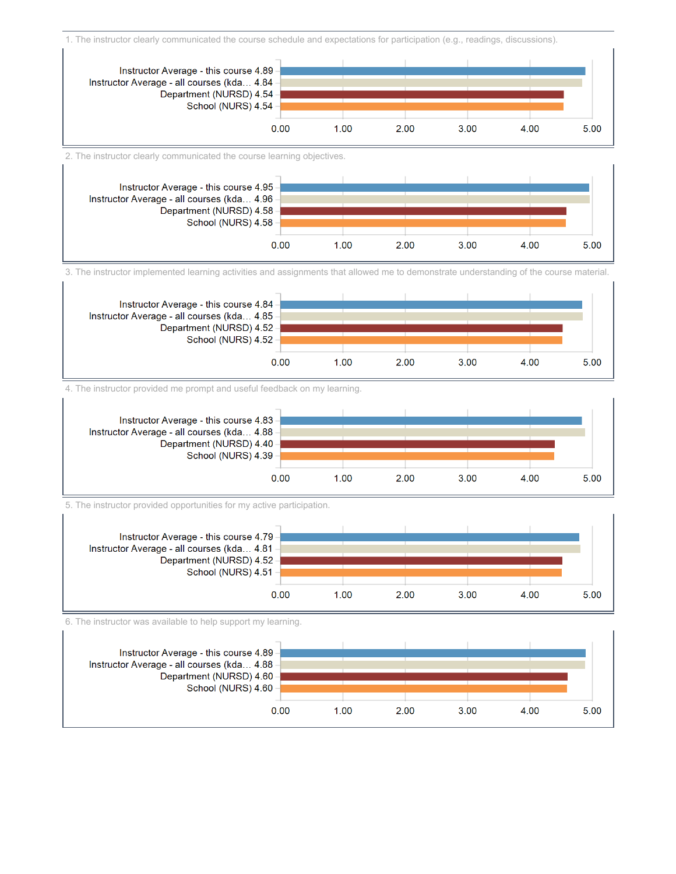1. The instructor clearly communicated the course schedule and expectations for participation (e.g., readings, discussions).



2. The instructor clearly communicated the course learning objectives.



3. The instructor implemented learning activities and assignments that allowed me to demonstrate understanding of the course material.



4. The instructor provided me prompt and useful feedback on my learning.



5. The instructor provided opportunities for my active participation.



6. The instructor was available to help support my learning.

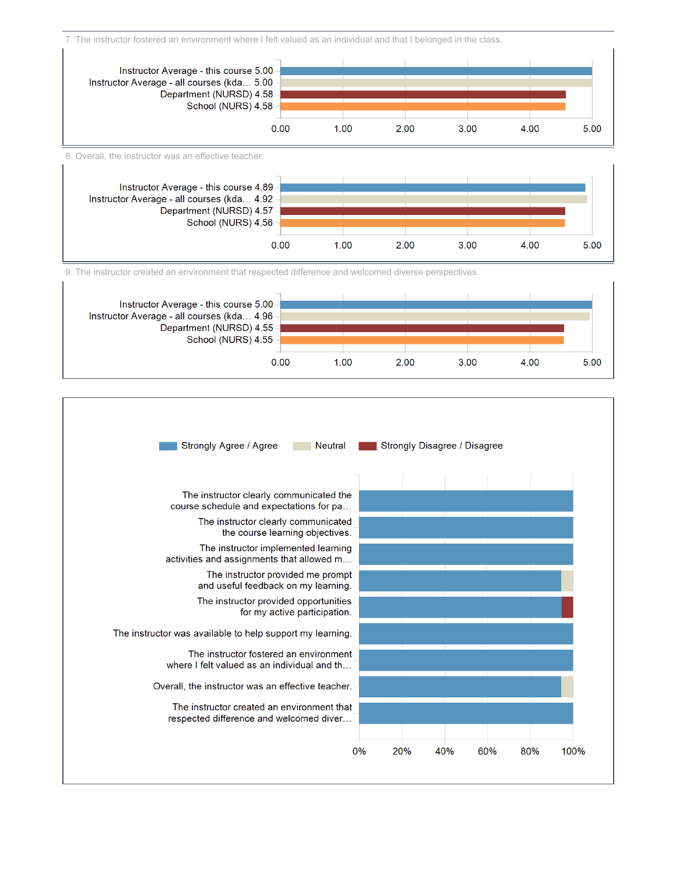7. The instructor fostered an environment where I felt valued as an individual and that I belonged in the class.



8. Overall, the instructor was an effective teacher.



9. The instructor created an environment that respected difference and welcomed diverse perspectives.



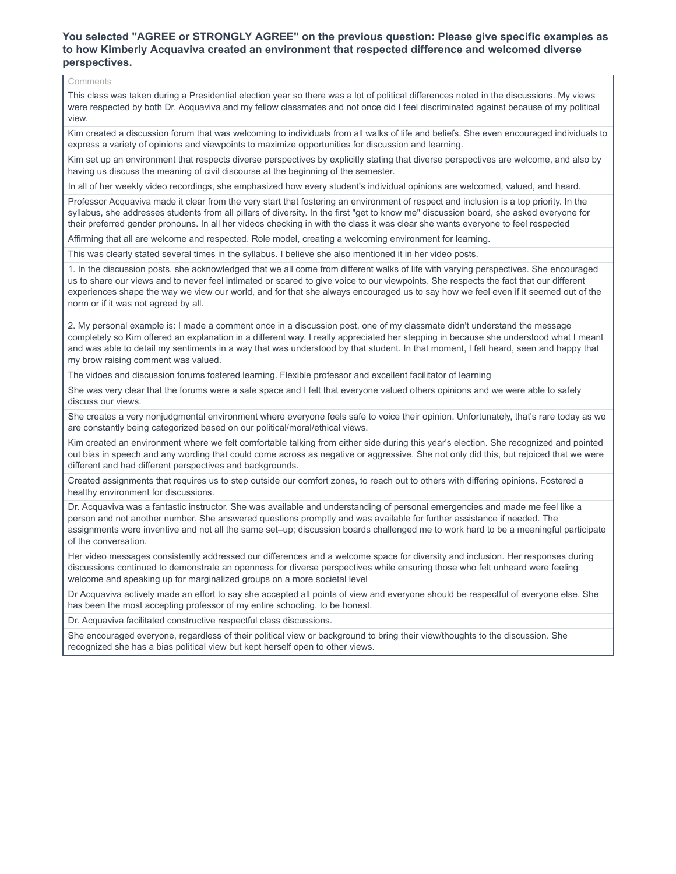## **You selected "AGREE or STRONGLY AGREE" on the previous question: Please give specific examples as to how Kimberly Acquaviva created an environment that respected difference and welcomed diverse perspectives.**

#### Comments

This class was taken during a Presidential election year so there was a lot of political differences noted in the discussions. My views were respected by both Dr. Acquaviva and my fellow classmates and not once did I feel discriminated against because of my political view.

Kim created a discussion forum that was welcoming to individuals from all walks of life and beliefs. She even encouraged individuals to express a variety of opinions and viewpoints to maximize opportunities for discussion and learning.

Kim set up an environment that respects diverse perspectives by explicitly stating that diverse perspectives are welcome, and also by having us discuss the meaning of civil discourse at the beginning of the semester.

In all of her weekly video recordings, she emphasized how every student's individual opinions are welcomed, valued, and heard.

Professor Acquaviva made it clear from the very start that fostering an environment of respect and inclusion is a top priority. In the syllabus, she addresses students from all pillars of diversity. In the first "get to know me" discussion board, she asked everyone for their preferred gender pronouns. In all her videos checking in with the class it was clear she wants everyone to feel respected

Affirming that all are welcome and respected. Role model, creating a welcoming environment for learning.

This was clearly stated several times in the syllabus. I believe she also mentioned it in her video posts.

1. In the discussion posts, she acknowledged that we all come from different walks of life with varying perspectives. She encouraged us to share our views and to never feel intimated or scared to give voice to our viewpoints. She respects the fact that our different experiences shape the way we view our world, and for that she always encouraged us to say how we feel even if it seemed out of the norm or if it was not agreed by all.

2. My personal example is: I made a comment once in a discussion post, one of my classmate didn't understand the message completely so Kim offered an explanation in a different way. I really appreciated her stepping in because she understood what I meant and was able to detail my sentiments in a way that was understood by that student. In that moment, I felt heard, seen and happy that my brow raising comment was valued.

The vidoes and discussion forums fostered learning. Flexible professor and excellent facilitator of learning

She was very clear that the forums were a safe space and I felt that everyone valued others opinions and we were able to safely discuss our views.

She creates a very nonjudgmental environment where everyone feels safe to voice their opinion. Unfortunately, that's rare today as we are constantly being categorized based on our political/moral/ethical views.

Kim created an environment where we felt comfortable talking from either side during this year's election. She recognized and pointed out bias in speech and any wording that could come across as negative or aggressive. She not only did this, but rejoiced that we were different and had different perspectives and backgrounds.

Created assignments that requires us to step outside our comfort zones, to reach out to others with differing opinions. Fostered a healthy environment for discussions.

Dr. Acquaviva was a fantastic instructor. She was available and understanding of personal emergencies and made me feel like a person and not another number. She answered questions promptly and was available for further assistance if needed. The assignments were inventive and not all the same set–up; discussion boards challenged me to work hard to be a meaningful participate of the conversation.

Her video messages consistently addressed our differences and a welcome space for diversity and inclusion. Her responses during discussions continued to demonstrate an openness for diverse perspectives while ensuring those who felt unheard were feeling welcome and speaking up for marginalized groups on a more societal level

Dr Acquaviva actively made an effort to say she accepted all points of view and everyone should be respectful of everyone else. She has been the most accepting professor of my entire schooling, to be honest.

Dr. Acquaviva facilitated constructive respectful class discussions.

She encouraged everyone, regardless of their political view or background to bring their view/thoughts to the discussion. She recognized she has a bias political view but kept herself open to other views.